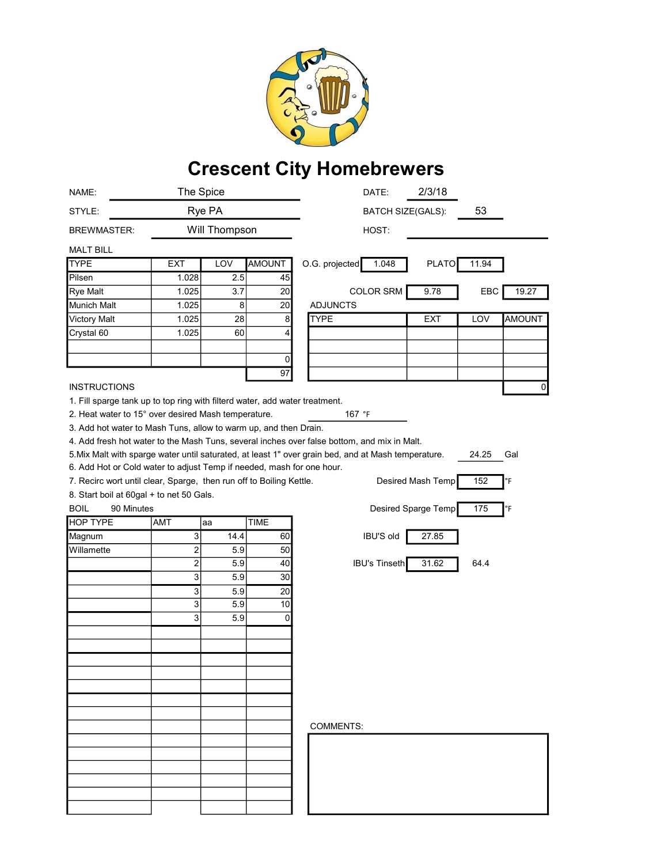

## Crescent City Homebrewers

| NAME:                                                                                                               | The Spice                 |            |                 |                  | DATE:                    | 2/3/18              |       |               |
|---------------------------------------------------------------------------------------------------------------------|---------------------------|------------|-----------------|------------------|--------------------------|---------------------|-------|---------------|
| STYLE:                                                                                                              | Rye PA                    |            |                 |                  | <b>BATCH SIZE(GALS):</b> |                     | 53    |               |
| <b>BREWMASTER:</b>                                                                                                  | Will Thompson             |            |                 | HOST:            |                          |                     |       |               |
| <b>MALT BILL</b>                                                                                                    |                           |            |                 |                  |                          |                     |       |               |
| <b>TYPE</b>                                                                                                         | <b>EXT</b>                | LOV        | <b>AMOUNT</b>   | O.G. projected   | 1.048                    | <b>PLATO</b>        | 11.94 |               |
| Pilsen                                                                                                              | 1.028                     | 2.5        | 45              |                  |                          |                     |       |               |
| <b>Rye Malt</b>                                                                                                     | 1.025                     | 3.7        | 20 <sup>2</sup> |                  | <b>COLOR SRM</b>         | 9.78                | EBC   | 19.27         |
| Munich Malt                                                                                                         | 1.025                     | 8          | 20 <sup>2</sup> | <b>ADJUNCTS</b>  |                          |                     |       |               |
| <b>Victory Malt</b>                                                                                                 | 1.025                     | 28         | 8               | <b>TYPE</b>      |                          | <b>EXT</b>          | LOV   | <b>AMOUNT</b> |
| Crystal 60                                                                                                          | 1.025                     | 60         | 4               |                  |                          |                     |       |               |
|                                                                                                                     |                           |            |                 |                  |                          |                     |       |               |
|                                                                                                                     |                           |            | $\overline{0}$  |                  |                          |                     |       |               |
|                                                                                                                     |                           |            | 97              |                  |                          |                     |       |               |
| <b>INSTRUCTIONS</b>                                                                                                 |                           |            |                 |                  |                          |                     |       | 0             |
| 1. Fill sparge tank up to top ring with filterd water, add water treatment.                                         |                           |            |                 |                  |                          |                     |       |               |
| 2. Heat water to 15° over desired Mash temperature.                                                                 |                           |            |                 |                  | 167 °F                   |                     |       |               |
| 3. Add hot water to Mash Tuns, allow to warm up, and then Drain.                                                    |                           |            |                 |                  |                          |                     |       |               |
| 4. Add fresh hot water to the Mash Tuns, several inches over false bottom, and mix in Malt.                         |                           |            |                 |                  |                          |                     |       |               |
| 5. Mix Malt with sparge water until saturated, at least 1" over grain bed, and at Mash temperature.<br>24.25<br>Gal |                           |            |                 |                  |                          |                     |       |               |
| 6. Add Hot or Cold water to adjust Temp if needed, mash for one hour.                                               |                           |            |                 |                  |                          |                     |       |               |
| 7. Recirc wort until clear, Sparge, then run off to Boiling Kettle.<br>Desired Mash Temp<br>152<br>°F               |                           |            |                 |                  |                          |                     |       |               |
| 8. Start boil at 60gal + to net 50 Gals.                                                                            |                           |            |                 |                  |                          |                     |       |               |
| <b>BOIL</b>                                                                                                         |                           |            |                 |                  |                          |                     |       |               |
| 90 Minutes                                                                                                          |                           |            |                 |                  |                          | Desired Sparge Temp | 175   | °F            |
| <b>HOP TYPE</b>                                                                                                     | AMT                       | aa         | <b>TIME</b>     |                  |                          |                     |       |               |
| Magnum                                                                                                              | $\ensuremath{\mathsf{3}}$ | 14.4       | 60              |                  | <b>IBU'S old</b>         | 27.85               |       |               |
| Willamette                                                                                                          | $\overline{\mathbf{c}}$   | 5.9        | 50              |                  |                          |                     |       |               |
|                                                                                                                     |                           | 5.9        | 40              |                  | <b>IBU's Tinseth</b>     | 31.62               | 64.4  |               |
|                                                                                                                     | $\overline{\mathbf{c}}$   | 5.9        |                 |                  |                          |                     |       |               |
|                                                                                                                     | 3                         |            | 30              |                  |                          |                     |       |               |
|                                                                                                                     | 3                         | 5.9<br>5.9 | 20<br>10        |                  |                          |                     |       |               |
|                                                                                                                     | 3                         |            | $\Omega$        |                  |                          |                     |       |               |
|                                                                                                                     | 3                         | 5.9        |                 |                  |                          |                     |       |               |
|                                                                                                                     |                           |            |                 |                  |                          |                     |       |               |
|                                                                                                                     |                           |            |                 |                  |                          |                     |       |               |
|                                                                                                                     |                           |            |                 |                  |                          |                     |       |               |
|                                                                                                                     |                           |            |                 |                  |                          |                     |       |               |
|                                                                                                                     |                           |            |                 |                  |                          |                     |       |               |
|                                                                                                                     |                           |            |                 |                  |                          |                     |       |               |
|                                                                                                                     |                           |            |                 |                  |                          |                     |       |               |
|                                                                                                                     |                           |            |                 | <b>COMMENTS:</b> |                          |                     |       |               |
|                                                                                                                     |                           |            |                 |                  |                          |                     |       |               |
|                                                                                                                     |                           |            |                 |                  |                          |                     |       |               |
|                                                                                                                     |                           |            |                 |                  |                          |                     |       |               |
|                                                                                                                     |                           |            |                 |                  |                          |                     |       |               |
|                                                                                                                     |                           |            |                 |                  |                          |                     |       |               |